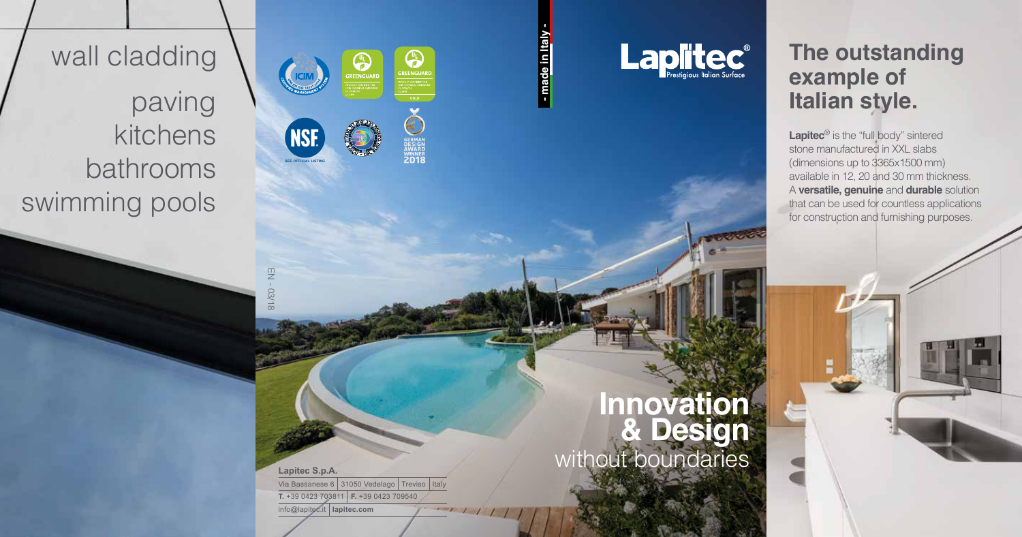

#### **Innovation & Design** without boundaries

info@lapitec.it **lapitec.com**

EN - 03/18

#### **The outstanding example of Italian style.**

Lapitec<sup>®</sup> is the "full body" sintered stone manufactured in XXL slabs (dimensions up to 3365x1500 mm) available in 12, 20 and 30 mm thickness. A **versatile, genuine** and **durable** solution that can be used for countless applications for construction and furnishing purposes.

### **- made in Italy -** - made in Italy

**CONNECTED**<br>GREENGUARD

**SERMAN**<br>DESIGN<br>AWARD<br>**ZO18** 

 $-111$ 

UL<br>EREENGUARD

**Laplice** 

**SEE OFFICIAL LISTING**

**NSE** 

**CIM** 

#### wall cladding

paving kitchens bathrooms swimming pools